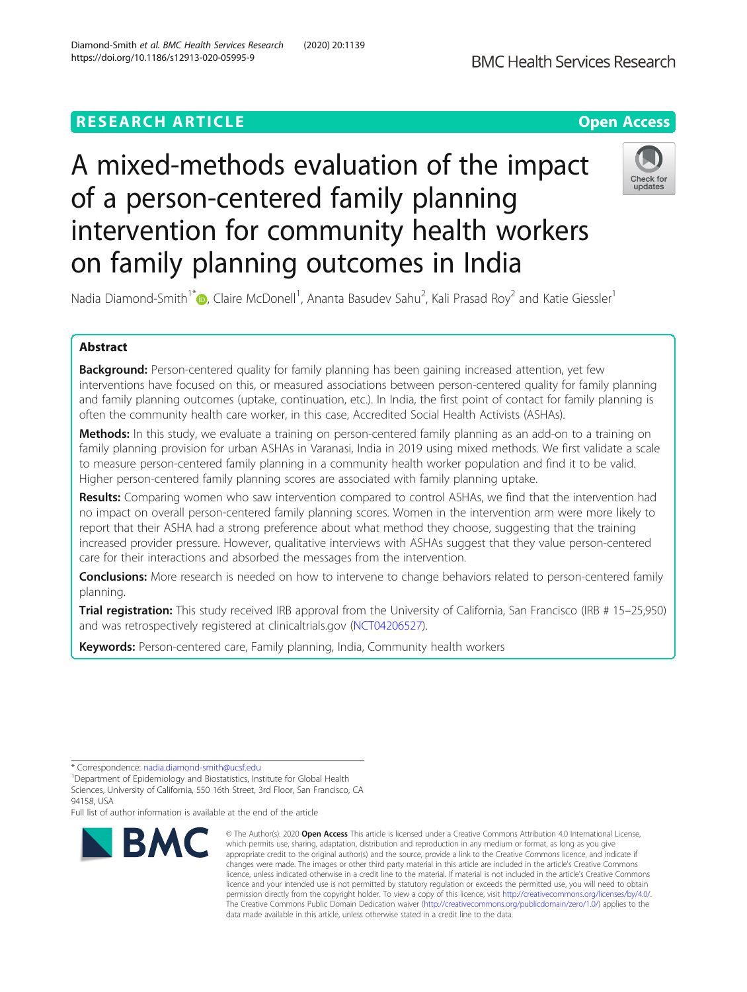# A mixed-methods evaluation of the impact of a person-centered family planning intervention for community health workers on family planning outcomes in India

Nadia Diamond-Smith<sup>1\*</sup> $\textsf{\textcircled{\textsf{b}}}$ , Claire McDonell<sup>1</sup>, Ananta Basudev Sahu<sup>2</sup>, Kali Prasad Roy<sup>2</sup> and Katie Giessler<sup>1</sup>

# Abstract

Background: Person-centered quality for family planning has been gaining increased attention, yet few interventions have focused on this, or measured associations between person-centered quality for family planning and family planning outcomes (uptake, continuation, etc.). In India, the first point of contact for family planning is often the community health care worker, in this case, Accredited Social Health Activists (ASHAs).

Methods: In this study, we evaluate a training on person-centered family planning as an add-on to a training on family planning provision for urban ASHAs in Varanasi, India in 2019 using mixed methods. We first validate a scale to measure person-centered family planning in a community health worker population and find it to be valid. Higher person-centered family planning scores are associated with family planning uptake.

Results: Comparing women who saw intervention compared to control ASHAs, we find that the intervention had no impact on overall person-centered family planning scores. Women in the intervention arm were more likely to report that their ASHA had a strong preference about what method they choose, suggesting that the training increased provider pressure. However, qualitative interviews with ASHAs suggest that they value person-centered care for their interactions and absorbed the messages from the intervention.

**Conclusions:** More research is needed on how to intervene to change behaviors related to person-centered family planning.

Trial registration: This study received IRB approval from the University of California, San Francisco (IRB # 15–25,950) and was retrospectively registered at clinicaltrials.gov ([NCT04206527\)](https://clinicaltrials.gov/ct2/show/NCT04206527).

Keywords: Person-centered care, Family planning, India, Community health workers

Full list of author information is available at the end of the article



Check for undates

© The Author(s), 2020 **Open Access** This article is licensed under a Creative Commons Attribution 4.0 International License, which permits use, sharing, adaptation, distribution and reproduction in any medium or format, as long as you give appropriate credit to the original author(s) and the source, provide a link to the Creative Commons licence, and indicate if changes were made. The images or other third party material in this article are included in the article's Creative Commons licence, unless indicated otherwise in a credit line to the material. If material is not included in the article's Creative Commons licence and your intended use is not permitted by statutory regulation or exceeds the permitted use, you will need to obtain permission directly from the copyright holder. To view a copy of this licence, visit [http://creativecommons.org/licenses/by/4.0/.](http://creativecommons.org/licenses/by/4.0/) The Creative Commons Public Domain Dedication waiver [\(http://creativecommons.org/publicdomain/zero/1.0/](http://creativecommons.org/publicdomain/zero/1.0/)) applies to the data made available in this article, unless otherwise stated in a credit line to the data.

<sup>\*</sup> Correspondence: [nadia.diamond-smith@ucsf.edu](mailto:nadia.diamond-smith@ucsf.edu) <sup>1</sup>

<sup>&</sup>lt;sup>1</sup>Department of Epidemiology and Biostatistics, Institute for Global Health Sciences, University of California, 550 16th Street, 3rd Floor, San Francisco, CA 94158, USA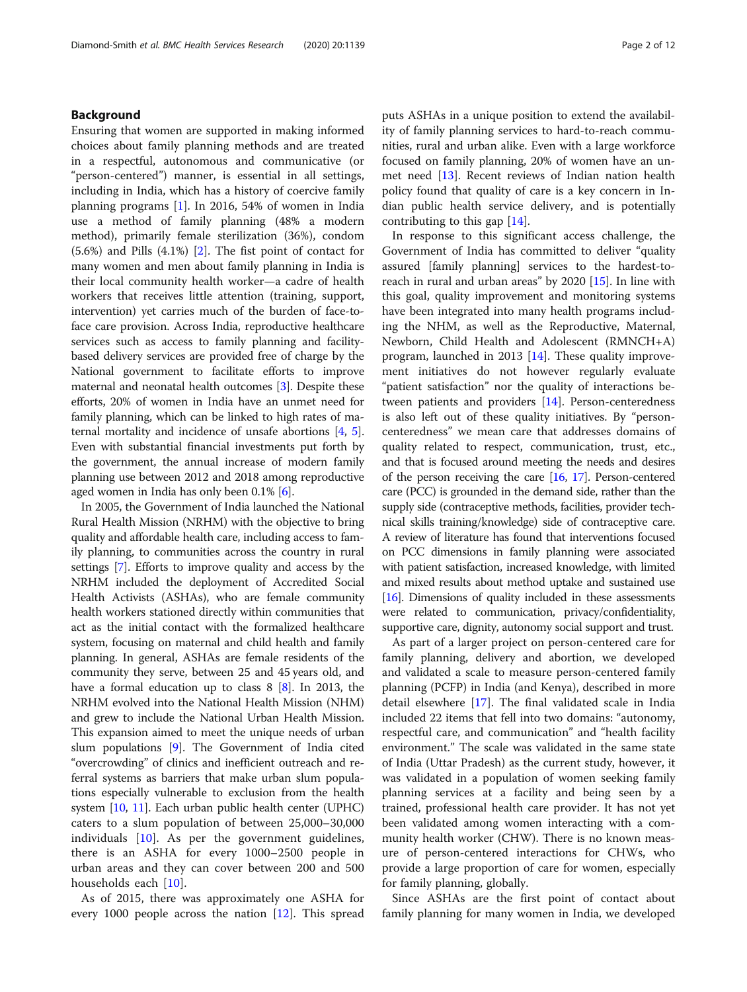# Background

Ensuring that women are supported in making informed choices about family planning methods and are treated in a respectful, autonomous and communicative (or "person-centered") manner, is essential in all settings, including in India, which has a history of coercive family planning programs [\[1](#page-10-0)]. In 2016, 54% of women in India use a method of family planning (48% a modern method), primarily female sterilization (36%), condom (5.6%) and Pills (4.1%) [\[2](#page-10-0)]. The fist point of contact for many women and men about family planning in India is their local community health worker—a cadre of health workers that receives little attention (training, support, intervention) yet carries much of the burden of face-toface care provision. Across India, reproductive healthcare services such as access to family planning and facilitybased delivery services are provided free of charge by the National government to facilitate efforts to improve maternal and neonatal health outcomes [\[3](#page-10-0)]. Despite these efforts, 20% of women in India have an unmet need for family planning, which can be linked to high rates of maternal mortality and incidence of unsafe abortions [[4,](#page-10-0) [5](#page-10-0)]. Even with substantial financial investments put forth by the government, the annual increase of modern family planning use between 2012 and 2018 among reproductive aged women in India has only been 0.1% [[6\]](#page-10-0).

In 2005, the Government of India launched the National Rural Health Mission (NRHM) with the objective to bring quality and affordable health care, including access to family planning, to communities across the country in rural settings [[7\]](#page-10-0). Efforts to improve quality and access by the NRHM included the deployment of Accredited Social Health Activists (ASHAs), who are female community health workers stationed directly within communities that act as the initial contact with the formalized healthcare system, focusing on maternal and child health and family planning. In general, ASHAs are female residents of the community they serve, between 25 and 45 years old, and have a formal education up to class 8 [[8\]](#page-10-0). In 2013, the NRHM evolved into the National Health Mission (NHM) and grew to include the National Urban Health Mission. This expansion aimed to meet the unique needs of urban slum populations [[9](#page-10-0)]. The Government of India cited "overcrowding" of clinics and inefficient outreach and referral systems as barriers that make urban slum populations especially vulnerable to exclusion from the health system [\[10](#page-10-0), [11](#page-10-0)]. Each urban public health center (UPHC) caters to a slum population of between 25,000–30,000 individuals [\[10](#page-10-0)]. As per the government guidelines, there is an ASHA for every 1000–2500 people in urban areas and they can cover between 200 and 500 households each [\[10](#page-10-0)].

As of 2015, there was approximately one ASHA for every 1000 people across the nation [[12\]](#page-10-0). This spread puts ASHAs in a unique position to extend the availability of family planning services to hard-to-reach communities, rural and urban alike. Even with a large workforce focused on family planning, 20% of women have an unmet need [\[13](#page-10-0)]. Recent reviews of Indian nation health policy found that quality of care is a key concern in Indian public health service delivery, and is potentially contributing to this gap [[14\]](#page-10-0).

In response to this significant access challenge, the Government of India has committed to deliver "quality assured [family planning] services to the hardest-toreach in rural and urban areas" by 2020 [\[15](#page-10-0)]. In line with this goal, quality improvement and monitoring systems have been integrated into many health programs including the NHM, as well as the Reproductive, Maternal, Newborn, Child Health and Adolescent (RMNCH+A) program, launched in 2013 [[14](#page-10-0)]. These quality improvement initiatives do not however regularly evaluate "patient satisfaction" nor the quality of interactions between patients and providers [\[14\]](#page-10-0). Person-centeredness is also left out of these quality initiatives. By "personcenteredness" we mean care that addresses domains of quality related to respect, communication, trust, etc., and that is focused around meeting the needs and desires of the person receiving the care [\[16](#page-11-0), [17\]](#page-11-0). Person-centered care (PCC) is grounded in the demand side, rather than the supply side (contraceptive methods, facilities, provider technical skills training/knowledge) side of contraceptive care. A review of literature has found that interventions focused on PCC dimensions in family planning were associated with patient satisfaction, increased knowledge, with limited and mixed results about method uptake and sustained use [[16](#page-11-0)]. Dimensions of quality included in these assessments were related to communication, privacy/confidentiality, supportive care, dignity, autonomy social support and trust.

As part of a larger project on person-centered care for family planning, delivery and abortion, we developed and validated a scale to measure person-centered family planning (PCFP) in India (and Kenya), described in more detail elsewhere [[17](#page-11-0)]. The final validated scale in India included 22 items that fell into two domains: "autonomy, respectful care, and communication" and "health facility environment." The scale was validated in the same state of India (Uttar Pradesh) as the current study, however, it was validated in a population of women seeking family planning services at a facility and being seen by a trained, professional health care provider. It has not yet been validated among women interacting with a community health worker (CHW). There is no known measure of person-centered interactions for CHWs, who provide a large proportion of care for women, especially for family planning, globally.

Since ASHAs are the first point of contact about family planning for many women in India, we developed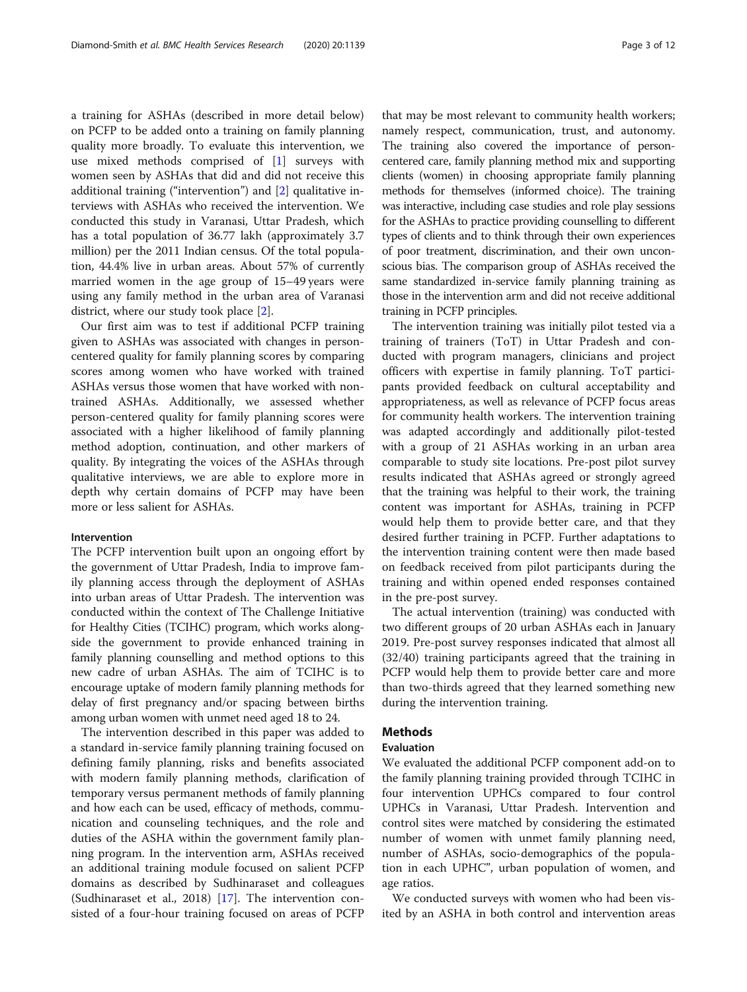a training for ASHAs (described in more detail below) on PCFP to be added onto a training on family planning quality more broadly. To evaluate this intervention, we use mixed methods comprised of [\[1](#page-10-0)] surveys with women seen by ASHAs that did and did not receive this additional training ("intervention") and [[2\]](#page-10-0) qualitative interviews with ASHAs who received the intervention. We conducted this study in Varanasi, Uttar Pradesh, which has a total population of 36.77 lakh (approximately 3.7 million) per the 2011 Indian census. Of the total population, 44.4% live in urban areas. About 57% of currently married women in the age group of 15–49 years were using any family method in the urban area of Varanasi district, where our study took place [\[2\]](#page-10-0).

Our first aim was to test if additional PCFP training given to ASHAs was associated with changes in personcentered quality for family planning scores by comparing scores among women who have worked with trained ASHAs versus those women that have worked with nontrained ASHAs. Additionally, we assessed whether person-centered quality for family planning scores were associated with a higher likelihood of family planning method adoption, continuation, and other markers of quality. By integrating the voices of the ASHAs through qualitative interviews, we are able to explore more in depth why certain domains of PCFP may have been more or less salient for ASHAs.

## Intervention

The PCFP intervention built upon an ongoing effort by the government of Uttar Pradesh, India to improve family planning access through the deployment of ASHAs into urban areas of Uttar Pradesh. The intervention was conducted within the context of The Challenge Initiative for Healthy Cities (TCIHC) program, which works alongside the government to provide enhanced training in family planning counselling and method options to this new cadre of urban ASHAs. The aim of TCIHC is to encourage uptake of modern family planning methods for delay of first pregnancy and/or spacing between births among urban women with unmet need aged 18 to 24.

The intervention described in this paper was added to a standard in-service family planning training focused on defining family planning, risks and benefits associated with modern family planning methods, clarification of temporary versus permanent methods of family planning and how each can be used, efficacy of methods, communication and counseling techniques, and the role and duties of the ASHA within the government family planning program. In the intervention arm, ASHAs received an additional training module focused on salient PCFP domains as described by Sudhinaraset and colleagues (Sudhinaraset et al., 2018) [\[17](#page-11-0)]. The intervention consisted of a four-hour training focused on areas of PCFP

that may be most relevant to community health workers; namely respect, communication, trust, and autonomy. The training also covered the importance of personcentered care, family planning method mix and supporting clients (women) in choosing appropriate family planning methods for themselves (informed choice). The training was interactive, including case studies and role play sessions for the ASHAs to practice providing counselling to different types of clients and to think through their own experiences of poor treatment, discrimination, and their own unconscious bias. The comparison group of ASHAs received the same standardized in-service family planning training as those in the intervention arm and did not receive additional training in PCFP principles.

The intervention training was initially pilot tested via a training of trainers (ToT) in Uttar Pradesh and conducted with program managers, clinicians and project officers with expertise in family planning. ToT participants provided feedback on cultural acceptability and appropriateness, as well as relevance of PCFP focus areas for community health workers. The intervention training was adapted accordingly and additionally pilot-tested with a group of 21 ASHAs working in an urban area comparable to study site locations. Pre-post pilot survey results indicated that ASHAs agreed or strongly agreed that the training was helpful to their work, the training content was important for ASHAs, training in PCFP would help them to provide better care, and that they desired further training in PCFP. Further adaptations to the intervention training content were then made based on feedback received from pilot participants during the training and within opened ended responses contained in the pre-post survey.

The actual intervention (training) was conducted with two different groups of 20 urban ASHAs each in January 2019. Pre-post survey responses indicated that almost all (32/40) training participants agreed that the training in PCFP would help them to provide better care and more than two-thirds agreed that they learned something new during the intervention training.

# Methods

## Evaluation

We evaluated the additional PCFP component add-on to the family planning training provided through TCIHC in four intervention UPHCs compared to four control UPHCs in Varanasi, Uttar Pradesh. Intervention and control sites were matched by considering the estimated number of women with unmet family planning need, number of ASHAs, socio-demographics of the population in each UPHC", urban population of women, and age ratios.

We conducted surveys with women who had been visited by an ASHA in both control and intervention areas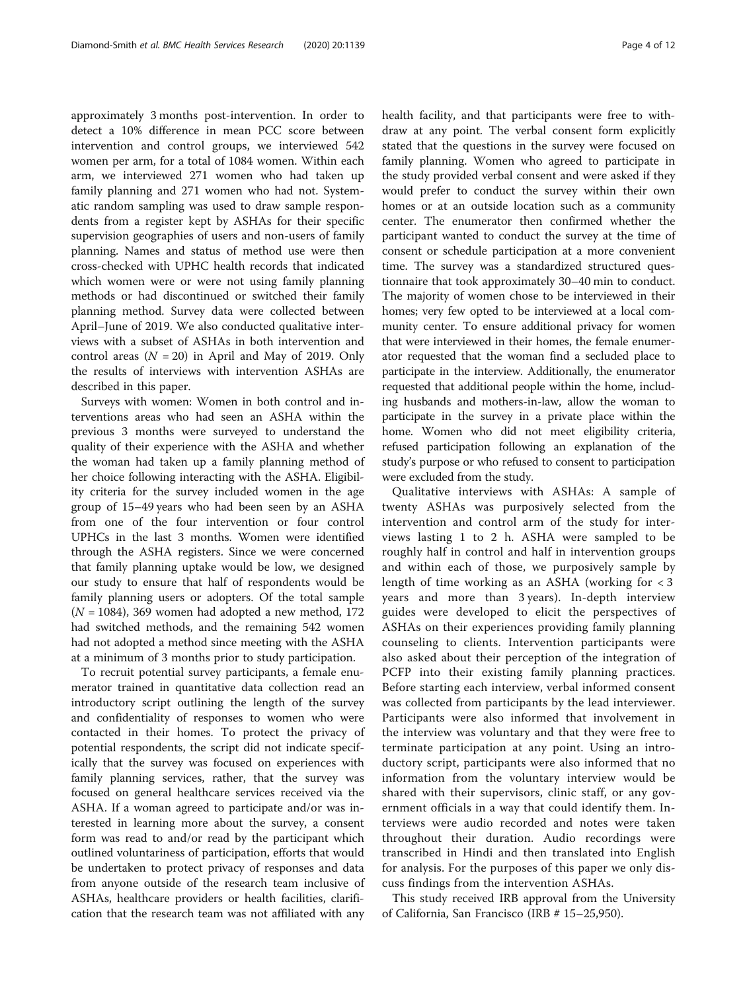approximately 3 months post-intervention. In order to detect a 10% difference in mean PCC score between intervention and control groups, we interviewed 542 women per arm, for a total of 1084 women. Within each arm, we interviewed 271 women who had taken up family planning and 271 women who had not. Systematic random sampling was used to draw sample respondents from a register kept by ASHAs for their specific supervision geographies of users and non-users of family planning. Names and status of method use were then cross-checked with UPHC health records that indicated which women were or were not using family planning methods or had discontinued or switched their family planning method. Survey data were collected between April–June of 2019. We also conducted qualitative interviews with a subset of ASHAs in both intervention and control areas  $(N = 20)$  in April and May of 2019. Only the results of interviews with intervention ASHAs are described in this paper.

Surveys with women: Women in both control and interventions areas who had seen an ASHA within the previous 3 months were surveyed to understand the quality of their experience with the ASHA and whether the woman had taken up a family planning method of her choice following interacting with the ASHA. Eligibility criteria for the survey included women in the age group of 15–49 years who had been seen by an ASHA from one of the four intervention or four control UPHCs in the last 3 months. Women were identified through the ASHA registers. Since we were concerned that family planning uptake would be low, we designed our study to ensure that half of respondents would be family planning users or adopters. Of the total sample  $(N = 1084)$ , 369 women had adopted a new method, 172 had switched methods, and the remaining 542 women had not adopted a method since meeting with the ASHA at a minimum of 3 months prior to study participation.

To recruit potential survey participants, a female enumerator trained in quantitative data collection read an introductory script outlining the length of the survey and confidentiality of responses to women who were contacted in their homes. To protect the privacy of potential respondents, the script did not indicate specifically that the survey was focused on experiences with family planning services, rather, that the survey was focused on general healthcare services received via the ASHA. If a woman agreed to participate and/or was interested in learning more about the survey, a consent form was read to and/or read by the participant which outlined voluntariness of participation, efforts that would be undertaken to protect privacy of responses and data from anyone outside of the research team inclusive of ASHAs, healthcare providers or health facilities, clarification that the research team was not affiliated with any health facility, and that participants were free to withdraw at any point. The verbal consent form explicitly stated that the questions in the survey were focused on family planning. Women who agreed to participate in the study provided verbal consent and were asked if they would prefer to conduct the survey within their own homes or at an outside location such as a community center. The enumerator then confirmed whether the participant wanted to conduct the survey at the time of consent or schedule participation at a more convenient time. The survey was a standardized structured questionnaire that took approximately 30–40 min to conduct. The majority of women chose to be interviewed in their homes; very few opted to be interviewed at a local community center. To ensure additional privacy for women that were interviewed in their homes, the female enumerator requested that the woman find a secluded place to participate in the interview. Additionally, the enumerator requested that additional people within the home, including husbands and mothers-in-law, allow the woman to participate in the survey in a private place within the home. Women who did not meet eligibility criteria, refused participation following an explanation of the study's purpose or who refused to consent to participation were excluded from the study.

Qualitative interviews with ASHAs: A sample of twenty ASHAs was purposively selected from the intervention and control arm of the study for interviews lasting 1 to 2 h. ASHA were sampled to be roughly half in control and half in intervention groups and within each of those, we purposively sample by length of time working as an ASHA (working for < 3 years and more than 3 years). In-depth interview guides were developed to elicit the perspectives of ASHAs on their experiences providing family planning counseling to clients. Intervention participants were also asked about their perception of the integration of PCFP into their existing family planning practices. Before starting each interview, verbal informed consent was collected from participants by the lead interviewer. Participants were also informed that involvement in the interview was voluntary and that they were free to terminate participation at any point. Using an introductory script, participants were also informed that no information from the voluntary interview would be shared with their supervisors, clinic staff, or any government officials in a way that could identify them. Interviews were audio recorded and notes were taken throughout their duration. Audio recordings were transcribed in Hindi and then translated into English for analysis. For the purposes of this paper we only discuss findings from the intervention ASHAs.

This study received IRB approval from the University of California, San Francisco (IRB # 15–25,950).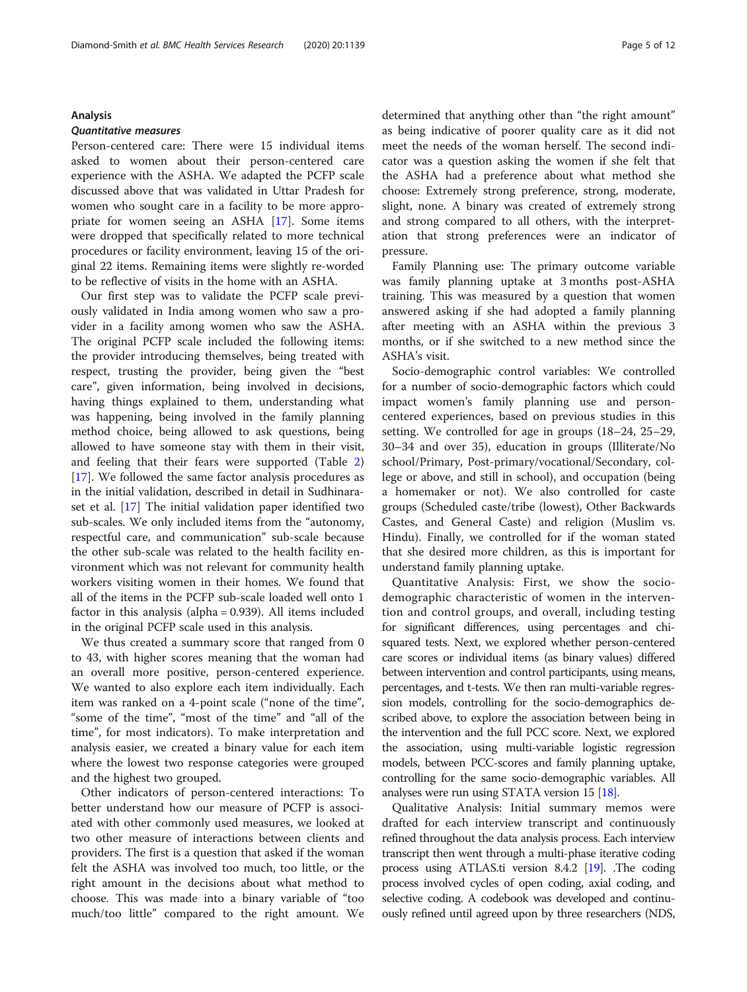## Analysis

#### Quantitative measures

Person-centered care: There were 15 individual items asked to women about their person-centered care experience with the ASHA. We adapted the PCFP scale discussed above that was validated in Uttar Pradesh for women who sought care in a facility to be more appropriate for women seeing an ASHA [[17](#page-11-0)]. Some items were dropped that specifically related to more technical procedures or facility environment, leaving 15 of the original 22 items. Remaining items were slightly re-worded to be reflective of visits in the home with an ASHA.

Our first step was to validate the PCFP scale previously validated in India among women who saw a provider in a facility among women who saw the ASHA. The original PCFP scale included the following items: the provider introducing themselves, being treated with respect, trusting the provider, being given the "best care", given information, being involved in decisions, having things explained to them, understanding what was happening, being involved in the family planning method choice, being allowed to ask questions, being allowed to have someone stay with them in their visit, and feeling that their fears were supported (Table [2](#page-6-0)) [[17\]](#page-11-0). We followed the same factor analysis procedures as in the initial validation, described in detail in Sudhinaraset et al. [\[17](#page-11-0)] The initial validation paper identified two sub-scales. We only included items from the "autonomy, respectful care, and communication" sub-scale because the other sub-scale was related to the health facility environment which was not relevant for community health workers visiting women in their homes. We found that all of the items in the PCFP sub-scale loaded well onto 1 factor in this analysis (alpha = 0.939). All items included in the original PCFP scale used in this analysis.

We thus created a summary score that ranged from 0 to 43, with higher scores meaning that the woman had an overall more positive, person-centered experience. We wanted to also explore each item individually. Each item was ranked on a 4-point scale ("none of the time", "some of the time", "most of the time" and "all of the time", for most indicators). To make interpretation and analysis easier, we created a binary value for each item where the lowest two response categories were grouped and the highest two grouped.

Other indicators of person-centered interactions: To better understand how our measure of PCFP is associated with other commonly used measures, we looked at two other measure of interactions between clients and providers. The first is a question that asked if the woman felt the ASHA was involved too much, too little, or the right amount in the decisions about what method to choose. This was made into a binary variable of "too much/too little" compared to the right amount. We determined that anything other than "the right amount" as being indicative of poorer quality care as it did not meet the needs of the woman herself. The second indicator was a question asking the women if she felt that the ASHA had a preference about what method she choose: Extremely strong preference, strong, moderate, slight, none. A binary was created of extremely strong and strong compared to all others, with the interpretation that strong preferences were an indicator of pressure.

Family Planning use: The primary outcome variable was family planning uptake at 3 months post-ASHA training. This was measured by a question that women answered asking if she had adopted a family planning after meeting with an ASHA within the previous 3 months, or if she switched to a new method since the ASHA's visit.

Socio-demographic control variables: We controlled for a number of socio-demographic factors which could impact women's family planning use and personcentered experiences, based on previous studies in this setting. We controlled for age in groups (18–24, 25–29, 30–34 and over 35), education in groups (Illiterate/No school/Primary, Post-primary/vocational/Secondary, college or above, and still in school), and occupation (being a homemaker or not). We also controlled for caste groups (Scheduled caste/tribe (lowest), Other Backwards Castes, and General Caste) and religion (Muslim vs. Hindu). Finally, we controlled for if the woman stated that she desired more children, as this is important for understand family planning uptake.

Quantitative Analysis: First, we show the sociodemographic characteristic of women in the intervention and control groups, and overall, including testing for significant differences, using percentages and chisquared tests. Next, we explored whether person-centered care scores or individual items (as binary values) differed between intervention and control participants, using means, percentages, and t-tests. We then ran multi-variable regression models, controlling for the socio-demographics described above, to explore the association between being in the intervention and the full PCC score. Next, we explored the association, using multi-variable logistic regression models, between PCC-scores and family planning uptake, controlling for the same socio-demographic variables. All analyses were run using STATA version 15 [[18](#page-11-0)].

Qualitative Analysis: Initial summary memos were drafted for each interview transcript and continuously refined throughout the data analysis process. Each interview transcript then went through a multi-phase iterative coding process using ATLAS.ti version 8.4.2 [\[19](#page-11-0)]. .The coding process involved cycles of open coding, axial coding, and selective coding. A codebook was developed and continuously refined until agreed upon by three researchers (NDS,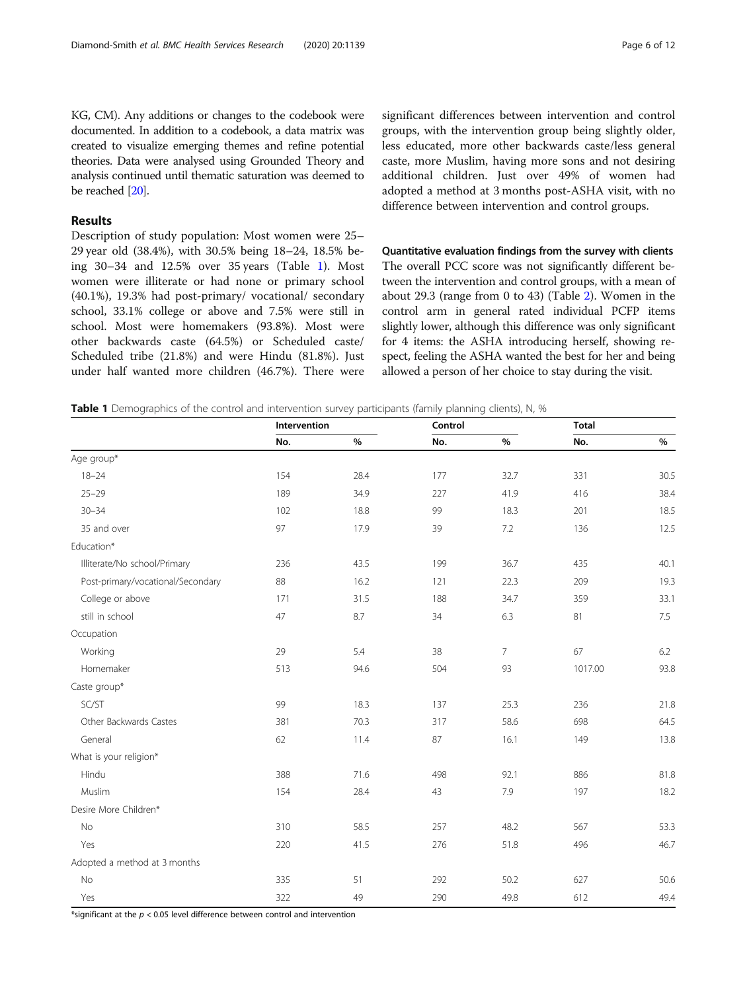KG, CM). Any additions or changes to the codebook were documented. In addition to a codebook, a data matrix was created to visualize emerging themes and refine potential theories. Data were analysed using Grounded Theory and analysis continued until thematic saturation was deemed to be reached [[20](#page-11-0)].

# Results

Description of study population: Most women were 25– 29 year old (38.4%), with 30.5% being 18–24, 18.5% being 30–34 and 12.5% over 35 years (Table 1). Most women were illiterate or had none or primary school (40.1%), 19.3% had post-primary/ vocational/ secondary school, 33.1% college or above and 7.5% were still in school. Most were homemakers (93.8%). Most were other backwards caste (64.5%) or Scheduled caste/ Scheduled tribe (21.8%) and were Hindu (81.8%). Just under half wanted more children (46.7%). There were significant differences between intervention and control groups, with the intervention group being slightly older, less educated, more other backwards caste/less general caste, more Muslim, having more sons and not desiring additional children. Just over 49% of women had adopted a method at 3 months post-ASHA visit, with no difference between intervention and control groups.

Quantitative evaluation findings from the survey with clients The overall PCC score was not significantly different between the intervention and control groups, with a mean of about 29.3 (range from 0 to 43) (Table [2\)](#page-6-0). Women in the control arm in general rated individual PCFP items slightly lower, although this difference was only significant for 4 items: the ASHA introducing herself, showing respect, feeling the ASHA wanted the best for her and being allowed a person of her choice to stay during the visit.

|  |  |  | Table 1 Demographics of the control and intervention survey participants (family planning clients), N, % |  |  |  |  |  |
|--|--|--|----------------------------------------------------------------------------------------------------------|--|--|--|--|--|
|--|--|--|----------------------------------------------------------------------------------------------------------|--|--|--|--|--|

|                                   | Intervention |      | Control |                | <b>Total</b> |      |
|-----------------------------------|--------------|------|---------|----------------|--------------|------|
|                                   | No.          | $\%$ | No.     | %              | No.          | %    |
| Age group*                        |              |      |         |                |              |      |
| $18 - 24$                         | 154          | 28.4 | 177     | 32.7           | 331          | 30.5 |
| $25 - 29$                         | 189          | 34.9 | 227     | 41.9           | 416          | 38.4 |
| $30 - 34$                         | 102          | 18.8 | 99      | 18.3           | 201          | 18.5 |
| 35 and over                       | 97           | 17.9 | 39      | 7.2            | 136          | 12.5 |
| Education*                        |              |      |         |                |              |      |
| Illiterate/No school/Primary      | 236          | 43.5 | 199     | 36.7           | 435          | 40.1 |
| Post-primary/vocational/Secondary | 88           | 16.2 | 121     | 22.3           | 209          | 19.3 |
| College or above                  | 171          | 31.5 | 188     | 34.7           | 359          | 33.1 |
| still in school                   | 47           | 8.7  | 34      | 6.3            | 81           | 7.5  |
| Occupation                        |              |      |         |                |              |      |
| Working                           | 29           | 5.4  | 38      | $\overline{7}$ | 67           | 6.2  |
| Homemaker                         | 513          | 94.6 | 504     | 93             | 1017.00      | 93.8 |
| Caste group*                      |              |      |         |                |              |      |
| SC/ST                             | 99           | 18.3 | 137     | 25.3           | 236          | 21.8 |
| Other Backwards Castes            | 381          | 70.3 | 317     | 58.6           | 698          | 64.5 |
| General                           | 62           | 11.4 | 87      | 16.1           | 149          | 13.8 |
| What is your religion*            |              |      |         |                |              |      |
| Hindu                             | 388          | 71.6 | 498     | 92.1           | 886          | 81.8 |
| Muslim                            | 154          | 28.4 | 43      | 7.9            | 197          | 18.2 |
| Desire More Children*             |              |      |         |                |              |      |
| No                                | 310          | 58.5 | 257     | 48.2           | 567          | 53.3 |
| Yes                               | 220          | 41.5 | 276     | 51.8           | 496          | 46.7 |
| Adopted a method at 3 months      |              |      |         |                |              |      |
| <b>No</b>                         | 335          | 51   | 292     | 50.2           | 627          | 50.6 |
| Yes                               | 322          | 49   | 290     | 49.8           | 612          | 49.4 |

\*significant at the  $p < 0.05$  level difference between control and intervention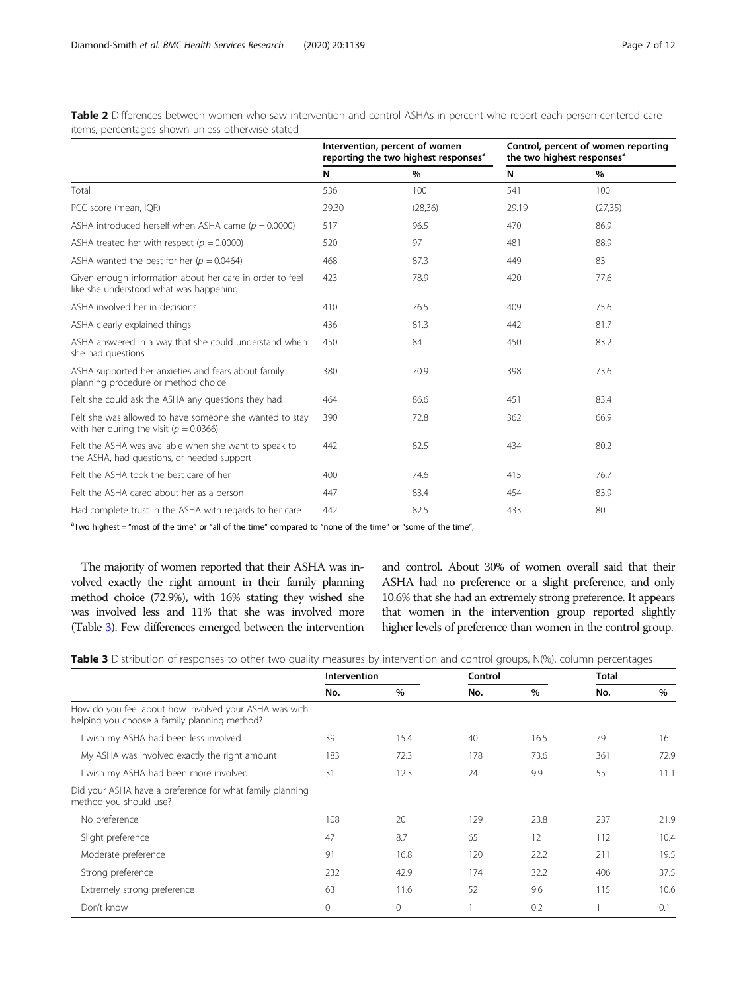|                                                                                                       | Intervention, percent of women<br>reporting the two highest responses <sup>a</sup> |          |       | Control, percent of women reporting<br>the two highest responses <sup>a</sup> |
|-------------------------------------------------------------------------------------------------------|------------------------------------------------------------------------------------|----------|-------|-------------------------------------------------------------------------------|
|                                                                                                       | N                                                                                  | $\%$     | N     | $\%$                                                                          |
| Total                                                                                                 | 536                                                                                | 100      | 541   | 100                                                                           |
| PCC score (mean, IQR)                                                                                 | 29.30                                                                              | (28, 36) | 29.19 | (27, 35)                                                                      |
| ASHA introduced herself when ASHA came ( $p = 0.0000$ )                                               | 517                                                                                | 96.5     | 470   | 86.9                                                                          |
| ASHA treated her with respect ( $p = 0.0000$ )                                                        | 520                                                                                | 97       | 481   | 88.9                                                                          |
| ASHA wanted the best for her ( $p = 0.0464$ )                                                         | 468                                                                                | 87.3     | 449   | 83                                                                            |
| Given enough information about her care in order to feel<br>like she understood what was happening    | 423                                                                                | 78.9     | 420   | 77.6                                                                          |
| ASHA involved her in decisions                                                                        | 410                                                                                | 76.5     | 409   | 75.6                                                                          |
| ASHA clearly explained things                                                                         | 436                                                                                | 81.3     | 442   | 81.7                                                                          |
| ASHA answered in a way that she could understand when<br>she had questions                            | 450                                                                                | 84       | 450   | 83.2                                                                          |
| ASHA supported her anxieties and fears about family<br>planning procedure or method choice            | 380                                                                                | 70.9     | 398   | 73.6                                                                          |
| Felt she could ask the ASHA any questions they had                                                    | 464                                                                                | 86.6     | 451   | 83.4                                                                          |
| Felt she was allowed to have someone she wanted to stay<br>with her during the visit ( $p = 0.0366$ ) | 390                                                                                | 72.8     | 362   | 66.9                                                                          |
| Felt the ASHA was available when she want to speak to<br>the ASHA, had questions, or needed support   | 442                                                                                | 82.5     | 434   | 80.2                                                                          |
| Felt the ASHA took the best care of her                                                               | 400                                                                                | 74.6     | 415   | 76.7                                                                          |
| Felt the ASHA cared about her as a person                                                             | 447                                                                                | 83.4     | 454   | 83.9                                                                          |
| Had complete trust in the ASHA with regards to her care                                               | 442                                                                                | 82.5     | 433   | 80                                                                            |

<span id="page-6-0"></span>Table 2 Differences between women who saw intervention and control ASHAs in percent who report each person-centered care items, percentages shown unless otherwise stated

a Two highest = "most of the time" or "all of the time" compared to "none of the time" or "some of the time",

The majority of women reported that their ASHA was involved exactly the right amount in their family planning method choice (72.9%), with 16% stating they wished she was involved less and 11% that she was involved more (Table 3). Few differences emerged between the intervention and control. About 30% of women overall said that their ASHA had no preference or a slight preference, and only 10.6% that she had an extremely strong preference. It appears that women in the intervention group reported slightly higher levels of preference than women in the control group.

| Table 3 Distribution of responses to other two quality measures by intervention and control groups, N(%), column percentages |  |  |  |
|------------------------------------------------------------------------------------------------------------------------------|--|--|--|
|                                                                                                                              |  |  |  |

|                                                                                                       | Intervention |             | Control |      | <b>Total</b> |      |
|-------------------------------------------------------------------------------------------------------|--------------|-------------|---------|------|--------------|------|
|                                                                                                       | No.          | $\%$        | No.     | $\%$ | No.          | $\%$ |
| How do you feel about how involved your ASHA was with<br>helping you choose a family planning method? |              |             |         |      |              |      |
| I wish my ASHA had been less involved                                                                 | 39           | 15.4        | 40      | 16.5 | 79           | 16   |
| My ASHA was involved exactly the right amount                                                         | 183          | 72.3        | 178     | 73.6 | 361          | 72.9 |
| I wish my ASHA had been more involved                                                                 | 31           | 12.3        | 24      | 9.9  | 55           | 11.1 |
| Did your ASHA have a preference for what family planning<br>method you should use?                    |              |             |         |      |              |      |
| No preference                                                                                         | 108          | 20          | 129     | 23.8 | 237          | 21.9 |
| Slight preference                                                                                     | 47           | 8.7         | 65      | 12   | 112          | 10.4 |
| Moderate preference                                                                                   | 91           | 16.8        | 120     | 22.2 | 211          | 19.5 |
| Strong preference                                                                                     | 232          | 42.9        | 174     | 32.2 | 406          | 37.5 |
| Extremely strong preference                                                                           | 63           | 11.6        | 52      | 9.6  | 115          | 10.6 |
| Don't know                                                                                            | $\mathbf{0}$ | $\mathbf 0$ |         | 0.2  |              | 0.1  |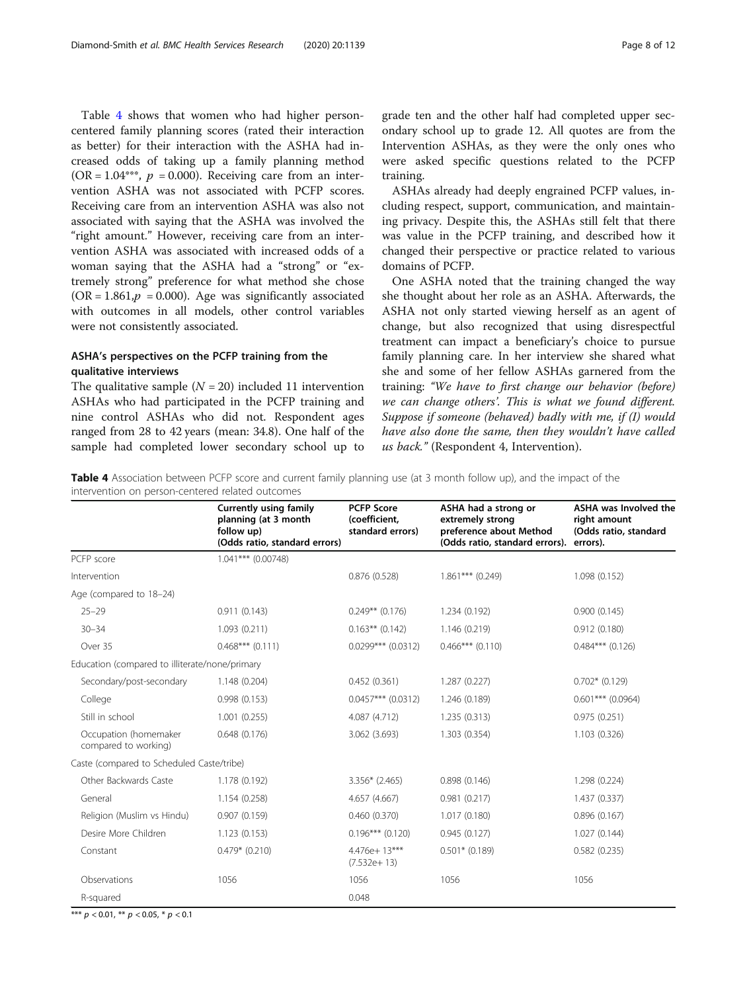Table 4 shows that women who had higher personcentered family planning scores (rated their interaction as better) for their interaction with the ASHA had increased odds of taking up a family planning method (OR =  $1.04***$ ,  $p = 0.000$ ). Receiving care from an intervention ASHA was not associated with PCFP scores. Receiving care from an intervention ASHA was also not associated with saying that the ASHA was involved the "right amount." However, receiving care from an intervention ASHA was associated with increased odds of a woman saying that the ASHA had a "strong" or "extremely strong" preference for what method she chose  $(OR = 1.861, p = 0.000)$ . Age was significantly associated with outcomes in all models, other control variables were not consistently associated.

# ASHA's perspectives on the PCFP training from the qualitative interviews

The qualitative sample  $(N = 20)$  included 11 intervention ASHAs who had participated in the PCFP training and nine control ASHAs who did not. Respondent ages ranged from 28 to 42 years (mean: 34.8). One half of the sample had completed lower secondary school up to grade ten and the other half had completed upper secondary school up to grade 12. All quotes are from the Intervention ASHAs, as they were the only ones who were asked specific questions related to the PCFP training.

ASHAs already had deeply engrained PCFP values, including respect, support, communication, and maintaining privacy. Despite this, the ASHAs still felt that there was value in the PCFP training, and described how it changed their perspective or practice related to various domains of PCFP.

One ASHA noted that the training changed the way she thought about her role as an ASHA. Afterwards, the ASHA not only started viewing herself as an agent of change, but also recognized that using disrespectful treatment can impact a beneficiary's choice to pursue family planning care. In her interview she shared what she and some of her fellow ASHAs garnered from the training: "We have to first change our behavior (before) we can change others'. This is what we found different. Suppose if someone (behaved) badly with me, if (I) would have also done the same, then they wouldn't have called us back." (Respondent 4, Intervention).

Table 4 Association between PCFP score and current family planning use (at 3 month follow up), and the impact of the intervention on person-centered related outcomes

|                                                | <b>Currently using family</b><br>planning (at 3 month<br>follow up)<br>(Odds ratio, standard errors) | <b>PCFP Score</b><br>(coefficient,<br>standard errors) | ASHA had a strong or<br>extremely strong<br>preference about Method<br>(Odds ratio, standard errors). | ASHA was Involved the<br>right amount<br>(Odds ratio, standard<br>errors). |
|------------------------------------------------|------------------------------------------------------------------------------------------------------|--------------------------------------------------------|-------------------------------------------------------------------------------------------------------|----------------------------------------------------------------------------|
| PCFP score                                     | $1.041***$ (0.00748)                                                                                 |                                                        |                                                                                                       |                                                                            |
| Intervention                                   |                                                                                                      | 0.876(0.528)                                           | $1.861***$ (0.249)                                                                                    | 1.098 (0.152)                                                              |
| Age (compared to 18-24)                        |                                                                                                      |                                                        |                                                                                                       |                                                                            |
| $25 - 29$                                      | 0.911(0.143)                                                                                         | $0.249**$ (0.176)                                      | 1.234 (0.192)                                                                                         | 0.900(0.145)                                                               |
| $30 - 34$                                      | 1.093(0.211)                                                                                         | $0.163**$ (0.142)                                      | 1.146 (0.219)                                                                                         | 0.912(0.180)                                                               |
| Over 35                                        | $0.468***$ (0.111)                                                                                   | $0.0299***$ (0.0312)                                   | $0.466***$ (0.110)                                                                                    | $0.484***$ (0.126)                                                         |
| Education (compared to illiterate/none/primary |                                                                                                      |                                                        |                                                                                                       |                                                                            |
| Secondary/post-secondary                       | 1.148 (0.204)                                                                                        | 0.452(0.361)                                           | 1.287(0.227)                                                                                          | $0.702*$ (0.129)                                                           |
| College                                        | 0.998(0.153)                                                                                         | $0.0457***$ (0.0312)                                   | 1.246 (0.189)                                                                                         | $0.601***$ (0.0964)                                                        |
| Still in school                                | 1.001(0.255)                                                                                         | 4.087 (4.712)                                          | 1.235(0.313)                                                                                          | 0.975(0.251)                                                               |
| Occupation (homemaker<br>compared to working)  | 0.648(0.176)                                                                                         | 3.062 (3.693)                                          | 1.303 (0.354)                                                                                         | 1.103 (0.326)                                                              |
| Caste (compared to Scheduled Caste/tribe)      |                                                                                                      |                                                        |                                                                                                       |                                                                            |
| Other Backwards Caste                          | 1.178 (0.192)                                                                                        | $3.356*$ (2.465)                                       | 0.898(0.146)                                                                                          | 1.298 (0.224)                                                              |
| General                                        | 1.154 (0.258)                                                                                        | 4.657 (4.667)                                          | 0.981(0.217)                                                                                          | 1.437(0.337)                                                               |
| Religion (Muslim vs Hindu)                     | 0.907(0.159)                                                                                         | 0.460(0.370)                                           | 1.017 (0.180)                                                                                         | 0.896(0.167)                                                               |
| Desire More Children                           | 1.123(0.153)                                                                                         | $0.196***$ (0.120)                                     | 0.945(0.127)                                                                                          | 1.027(0.144)                                                               |
| Constant                                       | $0.479*$ (0.210)                                                                                     | $4.476e+13***$<br>$(7.532e+13)$                        | $0.501*$ (0.189)                                                                                      | 0.582(0.235)                                                               |
| Observations                                   | 1056                                                                                                 | 1056                                                   | 1056                                                                                                  | 1056                                                                       |
| R-squared                                      |                                                                                                      | 0.048                                                  |                                                                                                       |                                                                            |

\*\*\*  $p < 0.01$ , \*\*  $p < 0.05$ , \*  $p < 0.1$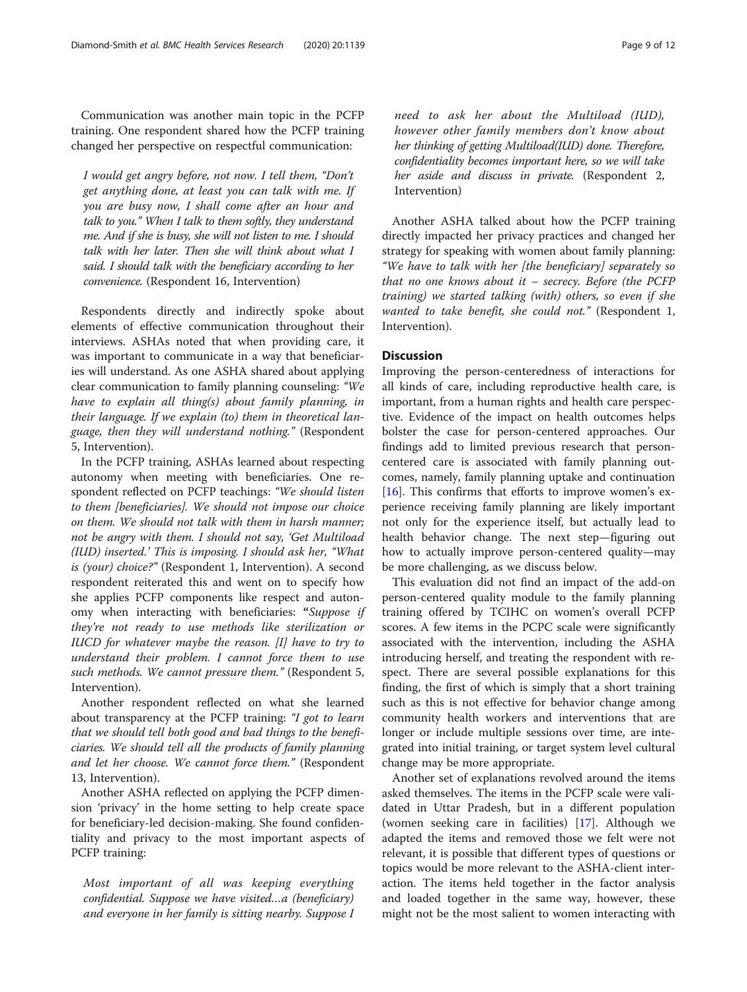Communication was another main topic in the PCFP training. One respondent shared how the PCFP training changed her perspective on respectful communication:

I would get angry before, not now. I tell them, "Don't get anything done, at least you can talk with me. If you are busy now, I shall come after an hour and talk to you." When I talk to them softly, they understand me. And if she is busy, she will not listen to me. I should talk with her later. Then she will think about what I said. I should talk with the beneficiary according to her convenience. (Respondent 16, Intervention)

Respondents directly and indirectly spoke about elements of effective communication throughout their interviews. ASHAs noted that when providing care, it was important to communicate in a way that beneficiaries will understand. As one ASHA shared about applying clear communication to family planning counseling: "We have to explain all thing(s) about family planning, in their language. If we explain (to) them in theoretical language, then they will understand nothing." (Respondent 5, Intervention).

In the PCFP training, ASHAs learned about respecting autonomy when meeting with beneficiaries. One respondent reflected on PCFP teachings: "We should listen to them [beneficiaries]. We should not impose our choice on them. We should not talk with them in harsh manner; not be angry with them. I should not say, 'Get Multiload (IUD) inserted.' This is imposing. I should ask her, "What is (your) choice?" (Respondent 1, Intervention). A second respondent reiterated this and went on to specify how she applies PCFP components like respect and autonomy when interacting with beneficiaries: "Suppose if they're not ready to use methods like sterilization or IUCD for whatever maybe the reason. [I] have to try to understand their problem. I cannot force them to use such methods. We cannot pressure them." (Respondent 5, Intervention).

Another respondent reflected on what she learned about transparency at the PCFP training: "I got to learn that we should tell both good and bad things to the beneficiaries. We should tell all the products of family planning and let her choose. We cannot force them." (Respondent 13, Intervention).

Another ASHA reflected on applying the PCFP dimension 'privacy' in the home setting to help create space for beneficiary-led decision-making. She found confidentiality and privacy to the most important aspects of PCFP training:

Most important of all was keeping everything confidential. Suppose we have visited…a (beneficiary) and everyone in her family is sitting nearby. Suppose I

need to ask her about the Multiload (IUD), however other family members don't know about her thinking of getting Multiload(IUD) done. Therefore, confidentiality becomes important here, so we will take her aside and discuss in private. (Respondent 2, Intervention)

Another ASHA talked about how the PCFP training directly impacted her privacy practices and changed her strategy for speaking with women about family planning: "We have to talk with her [the beneficiary] separately so that no one knows about it  $-$  secrecy. Before (the PCFP training) we started talking (with) others, so even if she wanted to take benefit, she could not." (Respondent 1, Intervention).

# **Discussion**

Improving the person-centeredness of interactions for all kinds of care, including reproductive health care, is important, from a human rights and health care perspective. Evidence of the impact on health outcomes helps bolster the case for person-centered approaches. Our findings add to limited previous research that personcentered care is associated with family planning outcomes, namely, family planning uptake and continuation [[16\]](#page-11-0). This confirms that efforts to improve women's experience receiving family planning are likely important not only for the experience itself, but actually lead to health behavior change. The next step—figuring out how to actually improve person-centered quality—may be more challenging, as we discuss below.

This evaluation did not find an impact of the add-on person-centered quality module to the family planning training offered by TCIHC on women's overall PCFP scores. A few items in the PCPC scale were significantly associated with the intervention, including the ASHA introducing herself, and treating the respondent with respect. There are several possible explanations for this finding, the first of which is simply that a short training such as this is not effective for behavior change among community health workers and interventions that are longer or include multiple sessions over time, are integrated into initial training, or target system level cultural change may be more appropriate.

Another set of explanations revolved around the items asked themselves. The items in the PCFP scale were validated in Uttar Pradesh, but in a different population (women seeking care in facilities) [[17\]](#page-11-0). Although we adapted the items and removed those we felt were not relevant, it is possible that different types of questions or topics would be more relevant to the ASHA-client interaction. The items held together in the factor analysis and loaded together in the same way, however, these might not be the most salient to women interacting with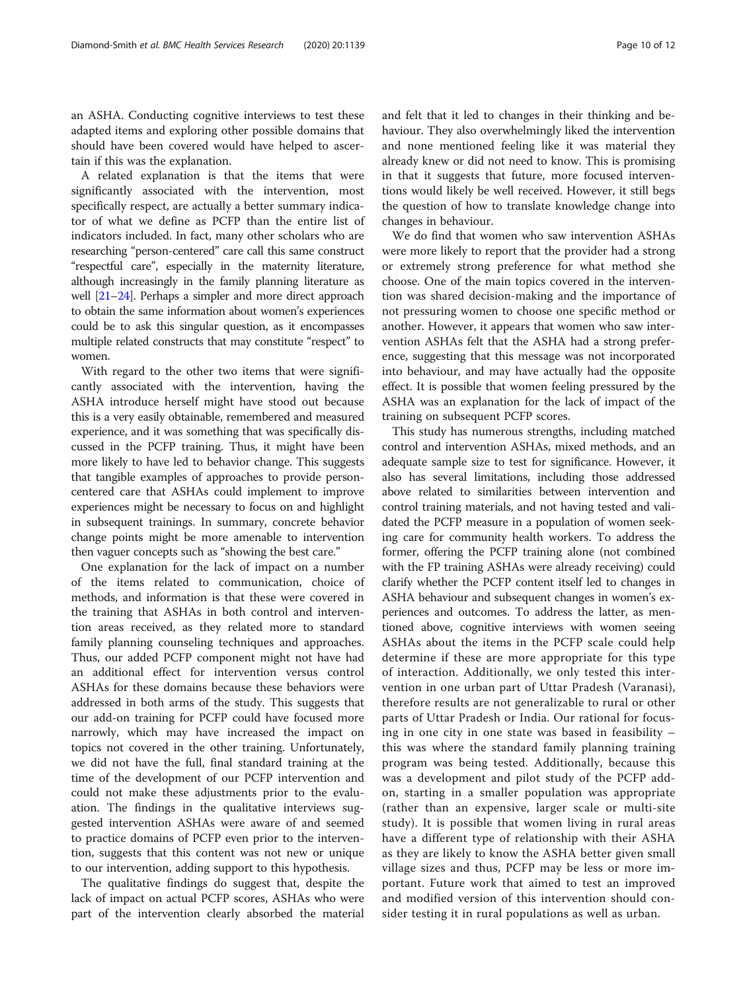an ASHA. Conducting cognitive interviews to test these adapted items and exploring other possible domains that should have been covered would have helped to ascertain if this was the explanation.

A related explanation is that the items that were significantly associated with the intervention, most specifically respect, are actually a better summary indicator of what we define as PCFP than the entire list of indicators included. In fact, many other scholars who are researching "person-centered" care call this same construct "respectful care", especially in the maternity literature, although increasingly in the family planning literature as well [[21](#page-11-0)–[24](#page-11-0)]. Perhaps a simpler and more direct approach to obtain the same information about women's experiences could be to ask this singular question, as it encompasses multiple related constructs that may constitute "respect" to women.

With regard to the other two items that were significantly associated with the intervention, having the ASHA introduce herself might have stood out because this is a very easily obtainable, remembered and measured experience, and it was something that was specifically discussed in the PCFP training. Thus, it might have been more likely to have led to behavior change. This suggests that tangible examples of approaches to provide personcentered care that ASHAs could implement to improve experiences might be necessary to focus on and highlight in subsequent trainings. In summary, concrete behavior change points might be more amenable to intervention then vaguer concepts such as "showing the best care."

One explanation for the lack of impact on a number of the items related to communication, choice of methods, and information is that these were covered in the training that ASHAs in both control and intervention areas received, as they related more to standard family planning counseling techniques and approaches. Thus, our added PCFP component might not have had an additional effect for intervention versus control ASHAs for these domains because these behaviors were addressed in both arms of the study. This suggests that our add-on training for PCFP could have focused more narrowly, which may have increased the impact on topics not covered in the other training. Unfortunately, we did not have the full, final standard training at the time of the development of our PCFP intervention and could not make these adjustments prior to the evaluation. The findings in the qualitative interviews suggested intervention ASHAs were aware of and seemed to practice domains of PCFP even prior to the intervention, suggests that this content was not new or unique to our intervention, adding support to this hypothesis.

The qualitative findings do suggest that, despite the lack of impact on actual PCFP scores, ASHAs who were part of the intervention clearly absorbed the material and felt that it led to changes in their thinking and behaviour. They also overwhelmingly liked the intervention and none mentioned feeling like it was material they already knew or did not need to know. This is promising in that it suggests that future, more focused interventions would likely be well received. However, it still begs the question of how to translate knowledge change into changes in behaviour.

We do find that women who saw intervention ASHAs were more likely to report that the provider had a strong or extremely strong preference for what method she choose. One of the main topics covered in the intervention was shared decision-making and the importance of not pressuring women to choose one specific method or another. However, it appears that women who saw intervention ASHAs felt that the ASHA had a strong preference, suggesting that this message was not incorporated into behaviour, and may have actually had the opposite effect. It is possible that women feeling pressured by the ASHA was an explanation for the lack of impact of the training on subsequent PCFP scores.

This study has numerous strengths, including matched control and intervention ASHAs, mixed methods, and an adequate sample size to test for significance. However, it also has several limitations, including those addressed above related to similarities between intervention and control training materials, and not having tested and validated the PCFP measure in a population of women seeking care for community health workers. To address the former, offering the PCFP training alone (not combined with the FP training ASHAs were already receiving) could clarify whether the PCFP content itself led to changes in ASHA behaviour and subsequent changes in women's experiences and outcomes. To address the latter, as mentioned above, cognitive interviews with women seeing ASHAs about the items in the PCFP scale could help determine if these are more appropriate for this type of interaction. Additionally, we only tested this intervention in one urban part of Uttar Pradesh (Varanasi), therefore results are not generalizable to rural or other parts of Uttar Pradesh or India. Our rational for focusing in one city in one state was based in feasibility – this was where the standard family planning training program was being tested. Additionally, because this was a development and pilot study of the PCFP addon, starting in a smaller population was appropriate (rather than an expensive, larger scale or multi-site study). It is possible that women living in rural areas have a different type of relationship with their ASHA as they are likely to know the ASHA better given small village sizes and thus, PCFP may be less or more important. Future work that aimed to test an improved and modified version of this intervention should consider testing it in rural populations as well as urban.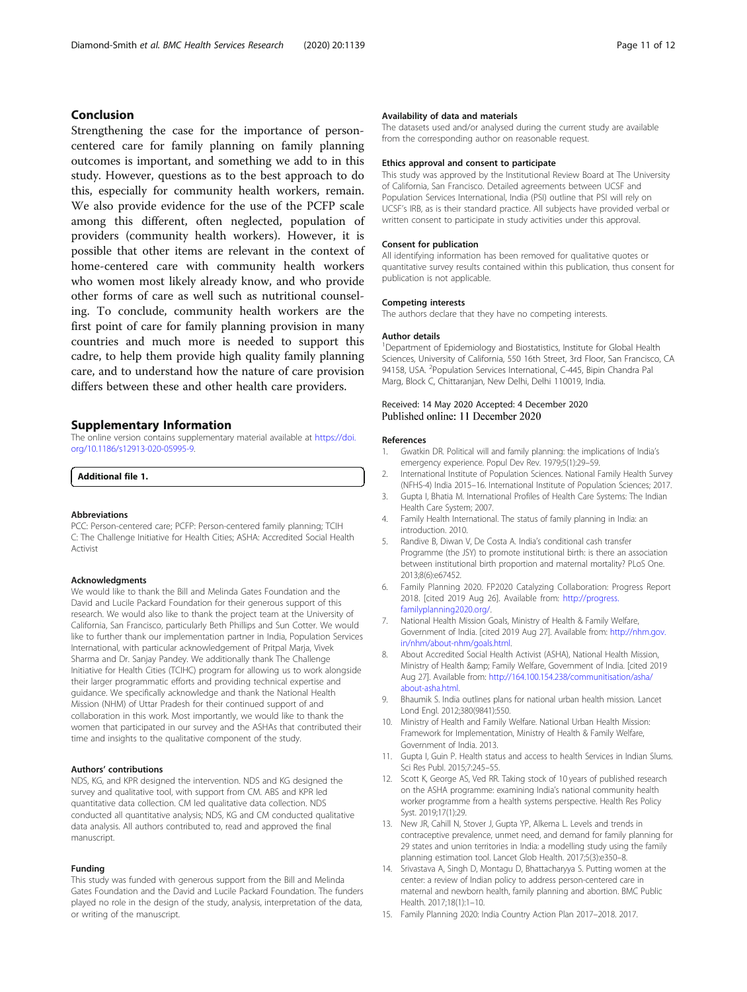# <span id="page-10-0"></span>Conclusion

Strengthening the case for the importance of personcentered care for family planning on family planning outcomes is important, and something we add to in this study. However, questions as to the best approach to do this, especially for community health workers, remain. We also provide evidence for the use of the PCFP scale among this different, often neglected, population of providers (community health workers). However, it is possible that other items are relevant in the context of home-centered care with community health workers who women most likely already know, and who provide other forms of care as well such as nutritional counseling. To conclude, community health workers are the first point of care for family planning provision in many countries and much more is needed to support this cadre, to help them provide high quality family planning care, and to understand how the nature of care provision differs between these and other health care providers.

## Supplementary Information

The online version contains supplementary material available at [https://doi.](https://doi.org/10.1186/s12913-020-05995-9) [org/10.1186/s12913-020-05995-9.](https://doi.org/10.1186/s12913-020-05995-9)

Additional file 1.

#### Abbreviations

PCC: Person-centered care; PCFP: Person-centered family planning; TCIH C: The Challenge Initiative for Health Cities; ASHA: Accredited Social Health Activist

#### Acknowledgments

We would like to thank the Bill and Melinda Gates Foundation and the David and Lucile Packard Foundation for their generous support of this research. We would also like to thank the project team at the University of California, San Francisco, particularly Beth Phillips and Sun Cotter. We would like to further thank our implementation partner in India, Population Services International, with particular acknowledgement of Pritpal Marja, Vivek Sharma and Dr. Sanjay Pandey. We additionally thank The Challenge Initiative for Health Cities (TCIHC) program for allowing us to work alongside their larger programmatic efforts and providing technical expertise and guidance. We specifically acknowledge and thank the National Health Mission (NHM) of Uttar Pradesh for their continued support of and collaboration in this work. Most importantly, we would like to thank the women that participated in our survey and the ASHAs that contributed their time and insights to the qualitative component of the study.

#### Authors' contributions

NDS, KG, and KPR designed the intervention. NDS and KG designed the survey and qualitative tool, with support from CM. ABS and KPR led quantitative data collection. CM led qualitative data collection. NDS conducted all quantitative analysis; NDS, KG and CM conducted qualitative data analysis. All authors contributed to, read and approved the final manuscript.

#### Funding

This study was funded with generous support from the Bill and Melinda Gates Foundation and the David and Lucile Packard Foundation. The funders played no role in the design of the study, analysis, interpretation of the data, or writing of the manuscript.

## Availability of data and materials

The datasets used and/or analysed during the current study are available from the corresponding author on reasonable request.

## Ethics approval and consent to participate

This study was approved by the Institutional Review Board at The University of California, San Francisco. Detailed agreements between UCSF and Population Services International, India (PSI) outline that PSI will rely on UCSF's IRB, as is their standard practice. All subjects have provided verbal or written consent to participate in study activities under this approval.

#### Consent for publication

All identifying information has been removed for qualitative quotes or quantitative survey results contained within this publication, thus consent for publication is not applicable.

#### Competing interests

The authors declare that they have no competing interests.

#### Author details

<sup>1</sup>Department of Epidemiology and Biostatistics, Institute for Global Health Sciences, University of California, 550 16th Street, 3rd Floor, San Francisco, CA 94158, USA. <sup>2</sup>Population Services International, C-445, Bipin Chandra Pal Marg, Block C, Chittaranjan, New Delhi, Delhi 110019, India.

## Received: 14 May 2020 Accepted: 4 December 2020 Published online: 11 December 2020

#### References

- 1. Gwatkin DR. Political will and family planning: the implications of India's emergency experience. Popul Dev Rev. 1979;5(1):29–59.
- 2. International Institute of Population Sciences. National Family Health Survey (NFHS-4) India 2015–16. International Institute of Population Sciences; 2017.
- 3. Gupta I, Bhatia M. International Profiles of Health Care Systems: The Indian Health Care System; 2007.
- 4. Family Health International. The status of family planning in India: an introduction. 2010.
- 5. Randive B, Diwan V, De Costa A. India's conditional cash transfer Programme (the JSY) to promote institutional birth: is there an association between institutional birth proportion and maternal mortality? PLoS One. 2013;8(6):e67452.
- 6. Family Planning 2020. FP2020 Catalyzing Collaboration: Progress Report 2018. [cited 2019 Aug 26]. Available from: [http://progress.](http://progress.familyplanning2020.org/) [familyplanning2020.org/.](http://progress.familyplanning2020.org/)
- 7. National Health Mission Goals, Ministry of Health & Family Welfare, Government of India. [cited 2019 Aug 27]. Available from: [http://nhm.gov.](http://nhm.gov.in/nhm/about-nhm/goals.html) [in/nhm/about-nhm/goals.html](http://nhm.gov.in/nhm/about-nhm/goals.html).
- About Accredited Social Health Activist (ASHA), National Health Mission, Ministry of Health & amp; Family Welfare, Government of India. [cited 2019 Aug 27]. Available from: [http://164.100.154.238/communitisation/asha/](http://164.100.154.238/communitisation/asha/about-asha.html) [about-asha.html.](http://164.100.154.238/communitisation/asha/about-asha.html)
- 9. Bhaumik S. India outlines plans for national urban health mission. Lancet Lond Engl. 2012;380(9841):550.
- 10. Ministry of Health and Family Welfare. National Urban Health Mission: Framework for Implementation, Ministry of Health & Family Welfare, Government of India. 2013.
- 11. Gupta I, Guin P. Health status and access to health Services in Indian Slums. Sci Res Publ. 2015;7:245–55.
- 12. Scott K, George AS, Ved RR. Taking stock of 10 years of published research on the ASHA programme: examining India's national community health worker programme from a health systems perspective. Health Res Policy Syst. 2019;17(1):29.
- 13. New JR, Cahill N, Stover J, Gupta YP, Alkema L. Levels and trends in contraceptive prevalence, unmet need, and demand for family planning for 29 states and union territories in India: a modelling study using the family planning estimation tool. Lancet Glob Health. 2017;5(3):e350–8.
- 14. Srivastava A, Singh D, Montagu D, Bhattacharyya S. Putting women at the center: a review of Indian policy to address person-centered care in maternal and newborn health, family planning and abortion. BMC Public Health. 2017;18(1):1–10.
- 15. Family Planning 2020: India Country Action Plan 2017–2018. 2017.